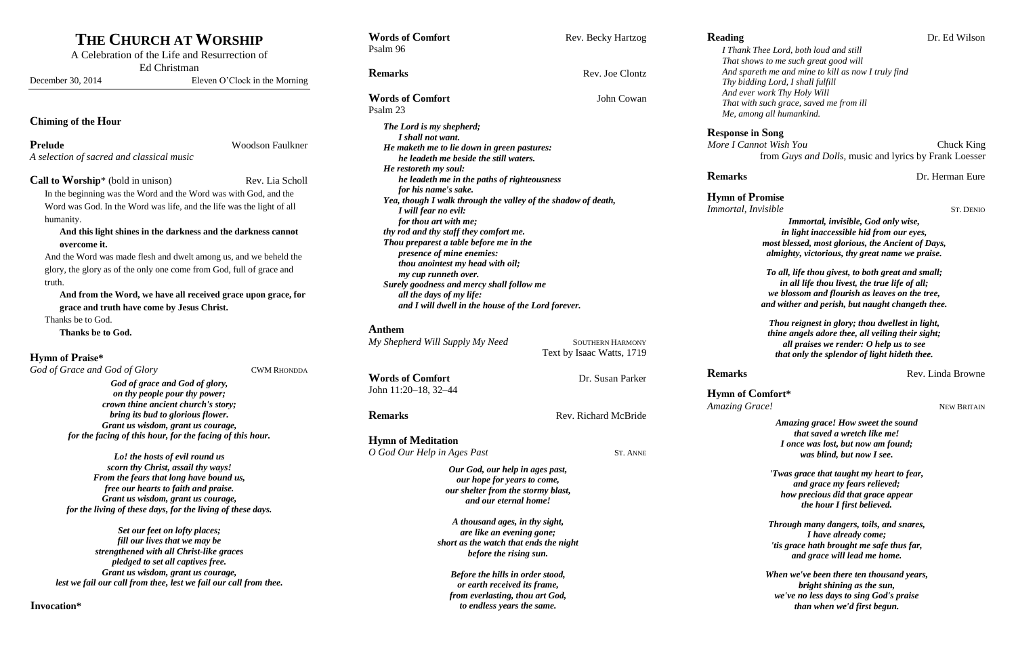# **THE CHURCH AT WORSHIP**

A Celebration of the Life and Resurrection of Ed Christman

### December 30, 2014 Eleven O'Clock in the Morning

**Prelude** Woodson Faulkner *A selection of sacred and classical music*

### **Chiming of the Hour**

**Call to Worship**\* (bold in unison) Rev. Lia Scholl In the beginning was the Word and the Word was with God, and the

Word was God. In the Word was life, and the life was the light of all humanity.

### **And this light shines in the darkness and the darkness cannot overcome it.**

And the Word was made flesh and dwelt among us, and we beheld the glory, the glory as of the only one come from God, full of grace and truth.

**And from the Word, we have all received grace upon grace, for grace and truth have come by Jesus Christ.**

Thanks be to God.

**Thanks be to God.**

# **Hymn of Praise\***

*God of Grace and God of Glory* CWM RHONDDA

*God of grace and God of glory, on thy people pour thy power; crown thine ancient church's story; bring its bud to glorious flower. Grant us wisdom, grant us courage, for the facing of this hour, for the facing of this hour.*

*Lo! the hosts of evil round us scorn thy Christ, assail thy ways! From the fears that long have bound us, free our hearts to faith and praise. Grant us wisdom, grant us courage, for the living of these days, for the living of these days.*

**Words** of Comfort Dr. Susan Parker John 11:20–18, 32–44

### **Remarks** Rev. Richard McBride

*Set our feet on lofty places; fill our lives that we may be strengthened with all Christ-like graces pledged to set all captives free. Grant us wisdom, grant us courage, lest we fail our call from thee, lest we fail our call from thee.*

**Invocation\***

Psalm 96

# **Remarks** Rev. Joe Clontz

**Words of Comfort** John Cowan Psalm 23

*The Lord is my shepherd; I shall not want. He maketh me to lie down in green pastures: he leadeth me beside the still waters. He restoreth my soul: he leadeth me in the paths of righteousness for his name's sake. Yea, though I walk through the valley of the shadow of death, I will fear no evil: for thou art with me; thy rod and thy staff they comfort me. Thou preparest a table before me in the presence of mine enemies: thou anointest my head with oil; my cup runneth over. Surely goodness and mercy shall follow me all the days of my life: and I will dwell in the house of the Lord forever.*

### **Anthem**

*My Shepherd Will Supply My Need* SOUTHERN HARMONY

Text by Isaac Watts, 1719

**Hymn of Meditation**

*O God Our Help in Ages Past* ST. ANNE

*Our God, our help in ages past, our hope for years to come, our shelter from the stormy blast, and our eternal home!*

*A thousand ages, in thy sight, are like an evening gone; short as the watch that ends the night before the rising sun.*

*Before the hills in order stood, or earth received its frame, from everlasting, thou art God, to endless years the same.*

**Words** of **Comfort** Rev. Becky Hartzog

*I Thank Thee Lord, both loud and still That shows to me such great good will And spareth me and mine to kill as now I truly find Thy bidding Lord, I shall fulfill And ever work Thy Holy Will That with such grace, saved me from ill Me, among all humankind.*

**Response in Song**

*Immortal, Invisible* ST. DENIO

*More I Cannot Wish You* Chuck King from *Guys and Dolls,* music and lyrics by Frank Loesser

**Remarks** Dr. Herman Eure

# **Hymn of Promise**

*Immortal, invisible, God only wise, in light inaccessible hid from our eyes, most blessed, most glorious, the Ancient of Days, almighty, victorious, thy great name we praise.*

*To all, life thou givest, to both great and small; in all life thou livest, the true life of all; we blossom and flourish as leaves on the tree, and wither and perish, but naught changeth thee.*

*Thou reignest in glory; thou dwellest in light, thine angels adore thee, all veiling their sight; all praises we render: O help us to see that only the splendor of light hideth thee.*

### **Remarks** Rev. Linda Browne

# **Hymn of Comfort\***

*Amazing Grace!* NEW BRITAIN

*Amazing grace! How sweet the sound that saved a wretch like me! I once was lost, but now am found; was blind, but now I see.*

*'Twas grace that taught my heart to fear, and grace my fears relieved; how precious did that grace appear the hour I first believed.*

*Through many dangers, toils, and snares, I have already come; 'tis grace hath brought me safe thus far, and grace will lead me home.*

*When we've been there ten thousand years, bright shining as the sun, we've no less days to sing God's praise than when we'd first begun.*